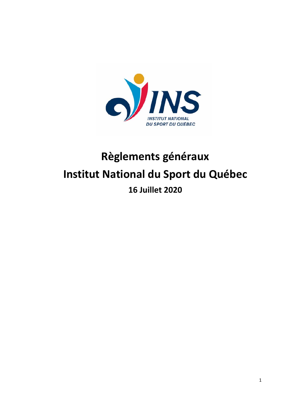

# **Règlements généraux Institut National du Sport du Québec 16 Juillet 2020**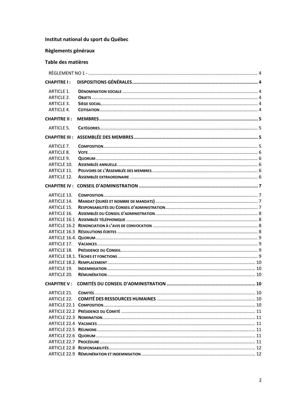# Institut national du sport du Québec

# Règlements généraux

# Table des matières

| <b>CHAPITRE I:</b>  |  |
|---------------------|--|
| ARTICLE 1.          |  |
| <b>ARTICLE 2.</b>   |  |
| ARTICLE 3.          |  |
| <b>ARTICLE 4.</b>   |  |
| <b>CHAPITRE II:</b> |  |
| <b>ARTICLE 5.</b>   |  |
|                     |  |
| <b>ARTICLE 7.</b>   |  |
| ARTICLE 8.          |  |
| ARTICLE 9.          |  |
| ARTICLE 10.         |  |
| <b>ARTICLE 11.</b>  |  |
| <b>ARTICLE 12.</b>  |  |
|                     |  |
| <b>ARTICLE 13.</b>  |  |
| <b>ARTICLE 14.</b>  |  |
| <b>ARTICLE 15.</b>  |  |
| ARTICLE 16.         |  |
|                     |  |
|                     |  |
|                     |  |
|                     |  |
| ARTICLE 17.         |  |
| ARTICLE 18.         |  |
|                     |  |
|                     |  |
| ARTICLE 19.         |  |
| ARTICLE 20.         |  |
| <b>CHAPITRE V:</b>  |  |
| ARTICLE 21.         |  |
|                     |  |
|                     |  |
|                     |  |
|                     |  |
|                     |  |
|                     |  |
|                     |  |
|                     |  |
|                     |  |
|                     |  |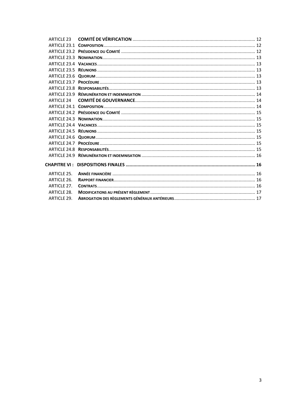| ARTICLE 23         |  |
|--------------------|--|
|                    |  |
|                    |  |
|                    |  |
|                    |  |
|                    |  |
|                    |  |
|                    |  |
|                    |  |
|                    |  |
| <b>ARTICLE 24</b>  |  |
|                    |  |
|                    |  |
|                    |  |
|                    |  |
|                    |  |
|                    |  |
|                    |  |
|                    |  |
|                    |  |
|                    |  |
| <b>ARTICLE 25.</b> |  |
| ARTICLE 26.        |  |
| ARTICLE 27.        |  |
| <b>ARTICLE 28.</b> |  |
| ARTICLE 29.        |  |
|                    |  |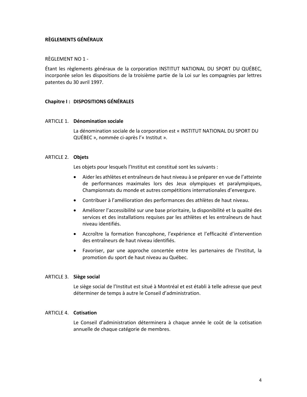# **RÈGLEMENTS GÉNÉRAUX**

# RÈGLEMENT NO 1 -

Étant les règlements généraux de la corporation INSTITUT NATIONAL DU SPORT DU QUÉBEC, incorporée selon les dispositions de la troisième partie de la Loi sur les compagnies par lettres patentes du 30 avril 1997.

# **Chapitre I : DISPOSITIONS GÉNÉRALES**

# ARTICLE 1. **Dénomination sociale**

La dénomination sociale de la corporation est « INSTITUT NATIONAL DU SPORT DU QUÉBEC », nommée ci-après l'« Institut ».

# ARTICLE 2. **Objets**

Les objets pour lesquels l'Institut est constitué sont les suivants :

- Aider les athlètes et entraîneurs de haut niveau à se préparer en vue de l'atteinte de performances maximales lors des Jeux olympiques et paralympiques, Championnats du monde et autres compétitions internationales d'envergure.
- Contribuer à l'amélioration des performances des athlètes de haut niveau.
- Améliorer l'accessibilité sur une base prioritaire, la disponibilité et la qualité des services et des installations requises par les athlètes et les entraîneurs de haut niveau identifiés.
- Accroître la formation francophone, l'expérience et l'efficacité d'intervention des entraîneurs de haut niveau identifiés.
- Favoriser, par une approche concertée entre les partenaires de l'Institut, la promotion du sport de haut niveau au Québec.

# ARTICLE 3. **Siège social**

Le siège social de l'Institut est situé à Montréal et est établi à telle adresse que peut déterminer de temps à autre le Conseil d'administration.

# ARTICLE 4. **Cotisation**

Le Conseil d'administration déterminera à chaque année le coût de la cotisation annuelle de chaque catégorie de membres.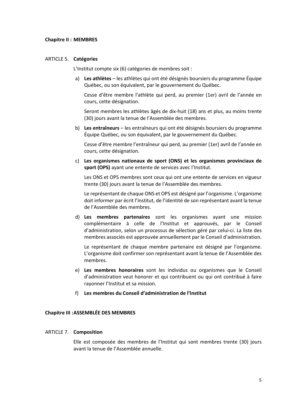# **Chapitre II : MEMBRES**

# ARTICLE 5. **Catégories**

L'Institut compte six (6) catégories de membres soit :

a) **Les athlètes** – les athlètes qui ont été désignés boursiers du programme Équipe Québec, ou son équivalent, par le gouvernement du Québec.

Cesse d'être membre l'athlète qui perd, au premier (1er) avril de l'année en cours, cette désignation.

Seront membres les athlètes âgés de dix-huit (18) ans et plus, au moins trente (30) jours avant la tenue de l'Assemblée des membres.

b) **Les entraîneurs** – les entraîneurs qui ont été désignés boursiers du programme Équipe Québec, ou son équivalent, par le gouvernement du Québec.

Cesse d'être membre l'entraîneur qui perd, au premier (1er) avril de l'année en cours, cette désignation.

c) **Les organismes nationaux de sport (ONS) et les organismes provinciaux de sport (OPS)** ayant une entente de services avec l'Institut.

Les ONS et OPS membres sont ceux qui ont une entente de services en vigueur trente (30) jours avant la tenue de l'Assemblée des membres.

Le représentant de chaque ONS et OPS est désigné par l'organisme. L'organisme doit informer par écrit l'Institut, de l'identité de son représentant avant la tenue de l'Assemblée des membres.

d) **Les membres partenaires** sont les organismes ayant une mission complémentaire à celle de l'Institut et approuvés, par le Conseil d'administration, selon un processus de sélection géré par celui-ci. La liste des membres associés est approuvée annuellement par le Conseil d'administration.

Le représentant de chaque membre partenaire est désigné par l'organisme. L'organisme doit confirmer son représentant avant la tenue de l'Assemblée des membres.

- e) **Les membres honoraires** sont les individus ou organismes que le Conseil d'administration veut honorer et qui contribuent ou qui ont contribué à faire rayonner l'Institut et sa mission.
- f) **Les membres du Conseil d'administration de l'Institut**

# **Chapitre III :ASSEMBLÉE DES MEMBRES**

# ARTICLE 7. **Composition**

Elle est composée des membres de l'Institut qui sont membres trente (30) jours avant la tenue de l'Assemblée annuelle.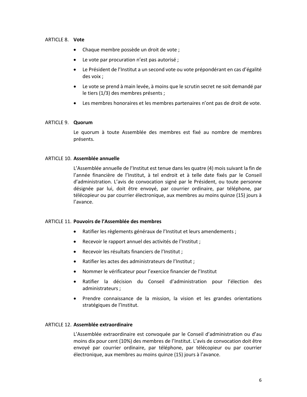# ARTICLE 8. **Vote**

- Chaque membre possède un droit de vote ;
- Le vote par procuration n'est pas autorisé ;
- Le Président de l'Institut a un second vote ou vote prépondérant en cas d'égalité des voix ;
- Le vote se prend à main levée, à moins que le scrutin secret ne soit demandé par le tiers (1/3) des membres présents ;
- Les membres honoraires et les membres partenaires n'ont pas de droit de vote.

# ARTICLE 9. **Quorum**

Le quorum à toute Assemblée des membres est fixé au nombre de membres présents.

# ARTICLE 10. **Assemblée annuelle**

L'Assemblée annuelle de l'Institut est tenue dans les quatre (4) mois suivant la fin de l'année financière de l'Institut, à tel endroit et à telle date fixés par le Conseil d'administration. L'avis de convocation signé par le Président, ou toute personne désignée par lui, doit être envoyé, par courrier ordinaire, par téléphone, par télécopieur ou par courrier électronique, aux membres au moins quinze (15) jours à l'avance.

# ARTICLE 11. **Pouvoirs de l'Assemblée des membres**

- Ratifier les règlements généraux de l'Institut et leurs amendements ;
- Recevoir le rapport annuel des activités de l'Institut ;
- Recevoir les résultats financiers de l'Institut ;
- Ratifier les actes des administrateurs de l'Institut ;
- Nommer le vérificateur pour l'exercice financier de l'Institut
- Ratifier la décision du Conseil d'administration pour l'élection des administrateurs ;
- Prendre connaissance de la mission, la vision et les grandes orientations stratégiques de l'Institut.

# ARTICLE 12. **Assemblée extraordinaire**

L'Assemblée extraordinaire est convoquée par le Conseil d'administration ou d'au moins dix pour cent (10%) des membres de l'Institut. L'avis de convocation doit être envoyé par courrier ordinaire, par téléphone, par télécopieur ou par courrier électronique, aux membres au moins quinze (15) jours à l'avance.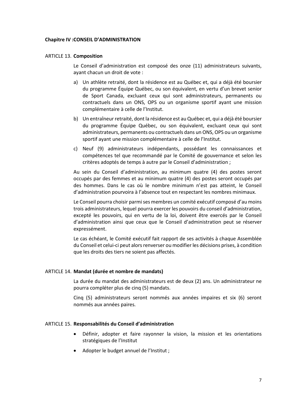# **Chapitre IV :CONSEIL D'ADMINISTRATION**

# ARTICLE 13. **Composition**

Le Conseil d'administration est composé des onze (11) administrateurs suivants, ayant chacun un droit de vote :

- a) Un athlète retraité, dont la résidence est au Québec et, qui a déjà été boursier du programme Équipe Québec, ou son équivalent, en vertu d'un brevet senior de Sport Canada, excluant ceux qui sont administrateurs, permanents ou contractuels dans un ONS, OPS ou un organisme sportif ayant une mission complémentaire à celle de l'Institut.
- b) Un entraîneur retraité, dont la résidence est au Québec et, qui a déjà été boursier du programme Équipe Québec, ou son équivalent, excluant ceux qui sont administrateurs, permanents ou contractuels dans un ONS, OPS ou un organisme sportif ayant une mission complémentaire à celle de l'Institut.
- c) Neuf (9) administrateurs indépendants, possédant les connaissances et compétences tel que recommandé par le Comité de gouvernance et selon les critères adoptés de temps à autre par le Conseil d'administration ;

Au sein du Conseil d'administration, au minimum quatre (4) des postes seront occupés par des femmes et au minimum quatre (4) des postes seront occupés par des hommes. Dans le cas où le nombre minimum n'est pas atteint, le Conseil d'administration pourvoira à l'absence tout en respectant les nombres minimaux.

Le Conseil pourra choisir parmi ses membres un comité exécutif composé d'au moins trois administrateurs, lequel pourra exercer les pouvoirs du conseil d'administration, excepté les pouvoirs, qui en vertu de la loi, doivent être exercés par le Conseil d'administration ainsi que ceux que le Conseil d'administration peut se réserver expressément.

Le cas échéant, le Comité exécutif fait rapport de ses activités à chaque Assemblée du Conseil et celui-ci peut alors renverser ou modifier les décisions prises, à condition que les droits des tiers ne soient pas affectés.

# ARTICLE 14. **Mandat (durée et nombre de mandats)**

La durée du mandat des administrateurs est de deux (2) ans. Un administrateur ne pourra compléter plus de cinq (5) mandats.

Cinq (5) administrateurs seront nommés aux années impaires et six (6) seront nommés aux années paires.

# ARTICLE 15. **Responsabilités du Conseil d'administration**

- Définir, adopter et faire rayonner la vision, la mission et les orientations stratégiques de l'Institut
- Adopter le budget annuel de l'Institut ;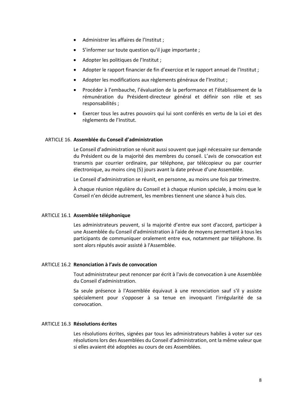- Administrer les affaires de l'Institut ;
- S'informer sur toute question qu'il juge importante ;
- Adopter les politiques de l'Institut ;
- Adopter le rapport financier de fin d'exercice et le rapport annuel de l'Institut ;
- Adopter les modifications aux règlements généraux de l'Institut ;
- Procéder à l'embauche, l'évaluation de la performance et l'établissement de la rémunération du Président-directeur général et définir son rôle et ses responsabilités ;
- Exercer tous les autres pouvoirs qui lui sont conférés en vertu de la Loi et des règlements de l'Institut.

# ARTICLE 16. **Assemblée du Conseil d'administration**

Le Conseil d'administration se réunit aussi souvent que jugé nécessaire sur demande du Président ou de la majorité des membres du conseil. L'avis de convocation est transmis par courrier ordinaire, par téléphone, par télécopieur ou par courrier électronique, au moins cinq (5) jours avant la date prévue d'une Assemblée.

Le Conseil d'administration se réunit, en personne, au moins une fois par trimestre.

À chaque réunion régulière du Conseil et à chaque réunion spéciale, à moins que le Conseil n'en décide autrement, les membres tiennent une séance à huis clos.

#### ARTICLE 16.1 **Assemblée téléphonique**

Les administrateurs peuvent, si la majorité d'entre eux sont d'accord, participer à une Assemblée du Conseil d'administration à l'aide de moyens permettant à tous les participants de communiquer oralement entre eux, notamment par téléphone. Ils sont alors réputés avoir assisté à l'Assemblée.

# ARTICLE 16.2 **Renonciation à l'avis de convocation**

Tout administrateur peut renoncer par écrit à l'avis de convocation à une Assemblée du Conseil d'administration.

Sa seule présence à l'Assemblée équivaut à une renonciation sauf s'il y assiste spécialement pour s'opposer à sa tenue en invoquant l'irrégularité de sa convocation.

#### ARTICLE 16.3 **Résolutions écrites**

Les résolutions écrites, signées par tous les administrateurs habiles à voter sur ces résolutions lors des Assemblées du Conseil d'administration, ont la même valeur que si elles avaient été adoptées au cours de ces Assemblées.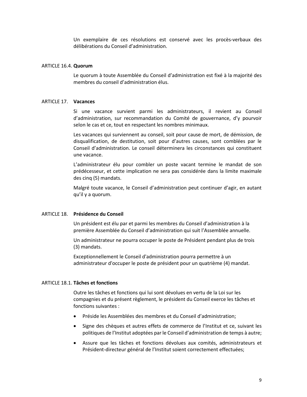Un exemplaire de ces résolutions est conservé avec les procès-verbaux des délibérations du Conseil d'administration.

# ARTICLE 16.4. **Quorum**

Le quorum à toute Assemblée du Conseil d'administration est fixé à la majorité des membres du conseil d'administration élus.

# ARTICLE 17. **Vacances**

Si une vacance survient parmi les administrateurs, il revient au Conseil d'administration, sur recommandation du Comité de gouvernance, d'y pourvoir selon le cas et ce, tout en respectant les nombres minimaux.

Les vacances qui surviennent au conseil, soit pour cause de mort, de démission, de disqualification, de destitution, soit pour d'autres causes, sont comblées par le Conseil d'administration. Le conseil déterminera les circonstances qui constituent une vacance.

L'administrateur élu pour combler un poste vacant termine le mandat de son prédécesseur, et cette implication ne sera pas considérée dans la limite maximale des cinq (5) mandats.

Malgré toute vacance, le Conseil d'administration peut continuer d'agir, en autant qu'il y a quorum.

# ARTICLE 18. **Présidence du Conseil**

Un président est élu par et parmi les membres du Conseil d'administration à la première Assemblée du Conseil d'administration qui suit l'Assemblée annuelle.

Un administrateur ne pourra occuper le poste de Président pendant plus de trois (3) mandats.

Exceptionnellement le Conseil d'administration pourra permettre à un administrateur d'occuper le poste de président pour un quatrième (4) mandat.

# ARTICLE 18.1. **Tâches et fonctions**

Outre les tâches et fonctions qui lui sont dévolues en vertu de la Loi sur les compagnies et du présent règlement, le président du Conseil exerce les tâches et fonctions suivantes :

- Préside les Assemblées des membres et du Conseil d'administration;
- Signe des chèques et autres effets de commerce de l'Institut et ce, suivant les politiques de l'Institut adoptées par le Conseil d'administration de temps à autre;
- Assure que les tâches et fonctions dévolues aux comités, administrateurs et Président-directeur général de l'Institut soient correctement effectuées;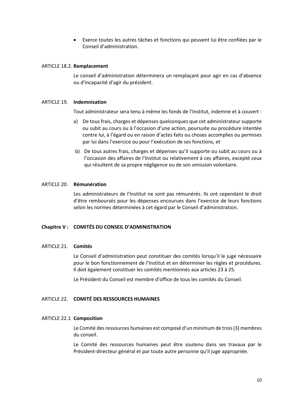• Exerce toutes les autres tâches et fonctions qui peuvent lui être confiées par le Conseil d'administration.

#### ARTICLE 18.2. **Remplacement**

Le conseil d'administration déterminera un remplaçant pour agir en cas d'absence ou d'incapacité d'agir du président.

#### ARTICLE 19. **Indemnisation**

Tout administrateur sera tenu à même les fonds de l'Institut, indemne et à couvert :

- a) De tous frais, charges et dépenses quelconques que cet administrateur supporte ou subit au cours ou à l'occasion d'une action, poursuite ou procédure intentée contre lui, à l'égard ou en raison d'actes faits ou choses accomplies ou permises par lui dans l'exercice ou pour l'exécution de ses fonctions, et
- b) De tous autres frais, charges et dépenses qu'il supporte ou subit au cours ou à l'occasion des affaires de l'Institut ou relativement à ces affaires, excepté ceux qui résultent de sa propre négligence ou de son omission volontaire.

#### ARTICLE 20. **Rémunération**

Les administrateurs de l'Institut ne sont pas rémunérés. Ils ont cependant le droit d'être remboursés pour les dépenses encourues dans l'exercice de leurs fonctions selon les normes déterminées à cet égard par le Conseil d'administration.

# **Chapitre V : COMITÉS DU CONSEIL D'ADMINISTRATION**

#### ARTICLE 21. **Comités**

Le Conseil d'administration peut constituer des comités lorsqu'il le juge nécessaire pour le bon fonctionnement de l'Institut et en déterminer les règles et procédures. Il doit également constituer les comités mentionnés aux articles 23 à 25.

Le Président du Conseil est membre d'office de tous les comités du Conseil.

# ARTICLE 22. **COMITÉ DES RESSOURCES HUMAINES**

#### ARTICLE 22.1 **Composition**

Le Comité des ressources humaines est composé d'un minimum de trois (3) membres du conseil.

Le Comité des ressources humaines peut être soutenu dans ses travaux par le Président-directeur général et par toute autre personne qu'il juge appropriée.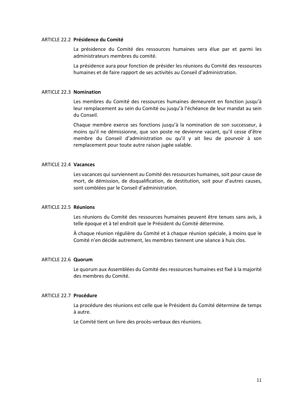#### ARTICLE 22.2 **Présidence du Comité**

La présidence du Comité des ressources humaines sera élue par et parmi les administrateurs membres du comité.

La présidence aura pour fonction de présider les réunions du Comité des ressources humaines et de faire rapport de ses activités au Conseil d'administration.

# ARTICLE 22.3 **Nomination**

Les membres du Comité des ressources humaines demeurent en fonction jusqu'à leur remplacement au sein du Comité ou jusqu'à l'échéance de leur mandat au sein du Conseil.

Chaque membre exerce ses fonctions jusqu'à la nomination de son successeur, à moins qu'il ne démissionne, que son poste ne devienne vacant, qu'il cesse d'être membre du Conseil d'administration ou qu'il y ait lieu de pourvoir à son remplacement pour toute autre raison jugée valable.

# ARTICLE 22.4 **Vacances**

Les vacances qui surviennent au Comité des ressources humaines, soit pour cause de mort, de démission, de disqualification, de destitution, soit pour d'autres causes, sont comblées par le Conseil d'administration.

# ARTICLE 22.5 **Réunions**

Les réunions du Comité des ressources humaines peuvent être tenues sans avis, à telle époque et à tel endroit que le Président du Comité détermine.

À chaque réunion régulière du Comité et à chaque réunion spéciale, à moins que le Comité n'en décide autrement, les membres tiennent une séance à huis clos.

#### ARTICLE 22.6 **Quorum**

Le quorum aux Assemblées du Comité des ressources humaines est fixé à la majorité des membres du Comité.

#### ARTICLE 22.7 **Procédure**

La procédure des réunions est celle que le Président du Comité détermine de temps à autre.

Le Comité tient un livre des procès-verbaux des réunions.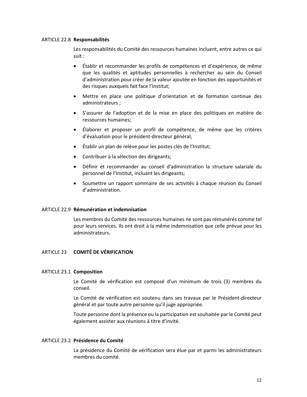# ARTICLE 22.8 **Responsabilités**

Les responsabilités du Comité des ressources humaines incluent, entre autres ce qui suit :

- Établir et recommander les profils de compétences et d'expérience, de même que les qualités et aptitudes personnelles à rechercher au sein du Conseil d'administration pour créer de la valeur ajoutée en fonction des opportunités et des risques auxquels fait face l'Institut;
- Mettre en place une politique d'orientation et de formation continue des administrateurs ;
- S'assurer de l'adoption et de la mise en place des politiques en matière de ressources humaines;
- Élaborer et proposer un profil de compétence, de même que les critères d'évaluation pour le président-directeur général;
- Établir un plan de relève pour les postes clés de l'Institut;
- Contribuer à la sélection des dirigeants;
- Définir et recommander au conseil d'administration la structure salariale du personnel de l'Institut, incluant les dirigeants;
- Soumettre un rapport sommaire de ses activités à chaque réunion du Conseil d'administration.

# ARTICLE 22.9 **Rémunération et indemnisation**

Les membres du Comité des ressources humaines ne sont pas rémunérés comme tel pour leurs services. Ils ont droit à la même indemnisation que celle prévue pour les administrateurs.

# ARTICLE 23 **COMITÉ DE VÉRIFICATION**

# ARTICLE 23.1 **Composition**

Le Comité de vérification est composé d'un minimum de trois (3) membres du conseil.

Le Comité de vérification est soutenu dans ses travaux par le Président-directeur général et par toute autre personne qu'il juge appropriée.

Toute personne dont la présence ou la participation est souhaitée par le Comité peut également assister aux réunions à titre d'invité.

# ARTICLE 23.2 **Présidence du Comité**

La présidence du Comité de vérification sera élue par et parmi les administrateurs membres du comité.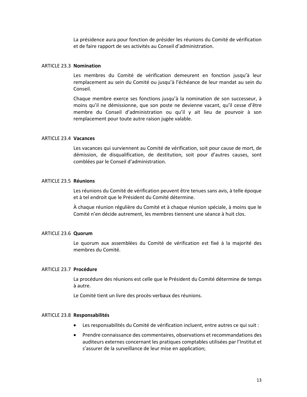La présidence aura pour fonction de présider les réunions du Comité de vérification et de faire rapport de ses activités au Conseil d'administration.

# ARTICLE 23.3 **Nomination**

Les membres du Comité de vérification demeurent en fonction jusqu'à leur remplacement au sein du Comité ou jusqu'à l'échéance de leur mandat au sein du Conseil.

Chaque membre exerce ses fonctions jusqu'à la nomination de son successeur, à moins qu'il ne démissionne, que son poste ne devienne vacant, qu'il cesse d'être membre du Conseil d'administration ou qu'il y ait lieu de pourvoir à son remplacement pour toute autre raison jugée valable.

#### ARTICLE 23.4 **Vacances**

Les vacances qui surviennent au Comité de vérification, soit pour cause de mort, de démission, de disqualification, de destitution, soit pour d'autres causes, sont comblées par le Conseil d'administration.

#### ARTICLE 23.5 **Réunions**

Les réunions du Comité de vérification peuvent être tenues sans avis, à telle époque et à tel endroit que le Président du Comité détermine.

À chaque réunion régulière du Comité et à chaque réunion spéciale, à moins que le Comité n'en décide autrement, les membres tiennent une séance à huit clos.

#### ARTICLE 23.6 **Quorum**

Le quorum aux assemblées du Comité de vérification est fixé à la majorité des membres du Comité.

#### ARTICLE 23.7 **Procédure**

La procédure des réunions est celle que le Président du Comité détermine de temps à autre.

Le Comité tient un livre des procès-verbaux des réunions.

#### ARTICLE 23.8 **Responsabilités**

- Les responsabilités du Comité de vérification incluent, entre autres ce qui suit :
- Prendre connaissance des commentaires, observations et recommandations des auditeurs externes concernant les pratiques comptables utilisées par l'Institut et s'assurer de la surveillance de leur mise en application;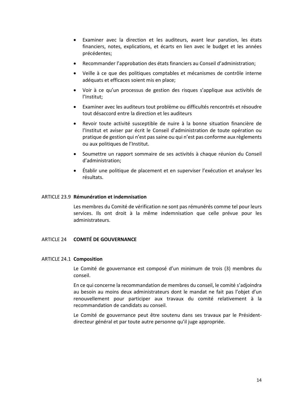- Examiner avec la direction et les auditeurs, avant leur parution, les états financiers, notes, explications, et écarts en lien avec le budget et les années précédentes;
- Recommander l'approbation des états financiers au Conseil d'administration;
- Veille à ce que des politiques comptables et mécanismes de contrôle interne adéquats et efficaces soient mis en place;
- Voir à ce qu'un processus de gestion des risques s'applique aux activités de l'Institut;
- Examiner avec les auditeurs tout problème ou difficultés rencontrés et résoudre tout désaccord entre la direction et les auditeurs
- Revoir toute activité susceptible de nuire à la bonne situation financière de l'Institut et aviser par écrit le Conseil d'administration de toute opération ou pratique de gestion qui n'est pas saine ou qui n'est pas conforme aux règlements ou aux politiques de l'Institut.
- Soumettre un rapport sommaire de ses activités à chaque réunion du Conseil d'administration;
- Établir une politique de placement et en superviser l'exécution et analyser les résultats.

# ARTICLE 23.9 **Rémunération et indemnisation**

Les membres du Comité de vérification ne sont pas rémunérés comme tel pour leurs services. Ils ont droit à la même indemnisation que celle prévue pour les administrateurs.

# ARTICLE 24 **COMITÉ DE GOUVERNANCE**

# ARTICLE 24.1 **Composition**

Le Comité de gouvernance est composé d'un minimum de trois (3) membres du conseil.

En ce qui concerne la recommandation de membres du conseil, le comité s'adjoindra au besoin au moins deux administrateurs dont le mandat ne fait pas l'objet d'un renouvellement pour participer aux travaux du comité relativement à la recommandation de candidats au conseil.

Le Comité de gouvernance peut être soutenu dans ses travaux par le Présidentdirecteur général et par toute autre personne qu'il juge appropriée.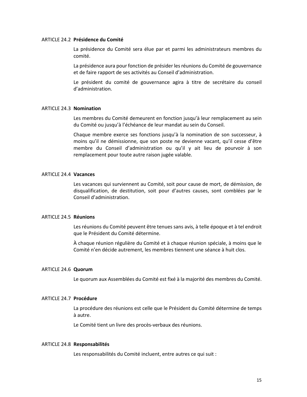#### ARTICLE 24.2 **Présidence du Comité**

La présidence du Comité sera élue par et parmi les administrateurs membres du comité.

La présidence aura pour fonction de présider les réunions du Comité de gouvernance et de faire rapport de ses activités au Conseil d'administration.

Le président du comité de gouvernance agira à titre de secrétaire du conseil d'administration.

# ARTICLE 24.3 **Nomination**

Les membres du Comité demeurent en fonction jusqu'à leur remplacement au sein du Comité ou jusqu'à l'échéance de leur mandat au sein du Conseil.

Chaque membre exerce ses fonctions jusqu'à la nomination de son successeur, à moins qu'il ne démissionne, que son poste ne devienne vacant, qu'il cesse d'être membre du Conseil d'administration ou qu'il y ait lieu de pourvoir à son remplacement pour toute autre raison jugée valable.

#### ARTICLE 24.4 **Vacances**

Les vacances qui surviennent au Comité, soit pour cause de mort, de démission, de disqualification, de destitution, soit pour d'autres causes, sont comblées par le Conseil d'administration.

#### ARTICLE 24.5 **Réunions**

Les réunions du Comité peuvent être tenues sans avis, à telle époque et à tel endroit que le Président du Comité détermine.

À chaque réunion régulière du Comité et à chaque réunion spéciale, à moins que le Comité n'en décide autrement, les membres tiennent une séance à huit clos.

#### ARTICLE 24.6 **Quorum**

Le quorum aux Assemblées du Comité est fixé à la majorité des membres du Comité.

# ARTICLE 24.7 **Procédure**

La procédure des réunions est celle que le Président du Comité détermine de temps à autre.

Le Comité tient un livre des procès-verbaux des réunions.

#### ARTICLE 24.8 **Responsabilités**

Les responsabilités du Comité incluent, entre autres ce qui suit :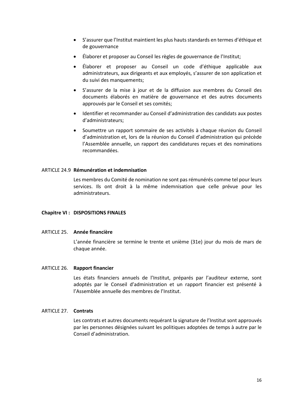- S'assurer que l'Institut maintient les plus hauts standards en termes d'éthique et de gouvernance
- Élaborer et proposer au Conseil les règles de gouvernance de l'Institut;
- Élaborer et proposer au Conseil un code d'éthique applicable aux administrateurs, aux dirigeants et aux employés, s'assurer de son application et du suivi des manquements;
- S'assurer de la mise à jour et de la diffusion aux membres du Conseil des documents élaborés en matière de gouvernance et des autres documents approuvés par le Conseil et ses comités;
- Identifier et recommander au Conseil d'administration des candidats aux postes d'administrateurs;
- Soumettre un rapport sommaire de ses activités à chaque réunion du Conseil d'administration et, lors de la réunion du Conseil d'administration qui précède l'Assemblée annuelle, un rapport des candidatures reçues et des nominations recommandées.

# ARTICLE 24.9 **Rémunération et indemnisation**

Les membres du Comité de nomination ne sont pas rémunérés comme tel pour leurs services. Ils ont droit à la même indemnisation que celle prévue pour les administrateurs.

# **Chapitre VI : DISPOSITIONS FINALES**

# ARTICLE 25. **Année financière**

L'année financière se termine le trente et unième (31e) jour du mois de mars de chaque année.

# ARTICLE 26. **Rapport financier**

Les états financiers annuels de l'Institut, préparés par l'auditeur externe, sont adoptés par le Conseil d'administration et un rapport financier est présenté à l'Assemblée annuelle des membres de l'Institut.

# ARTICLE 27. **Contrats**

Les contrats et autres documents requérant la signature de l'Institut sont approuvés par les personnes désignées suivant les politiques adoptées de temps à autre par le Conseil d'administration.